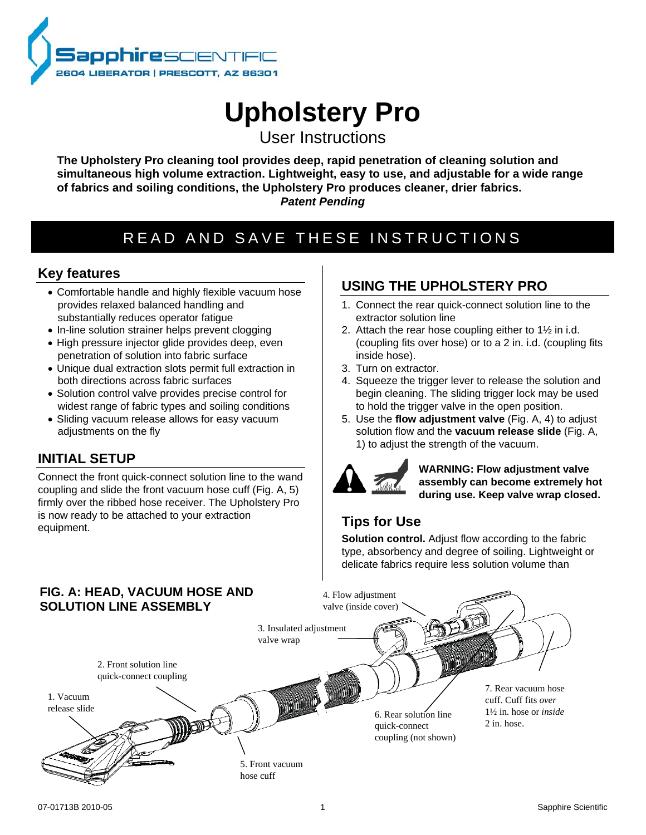

# **Upholstery Pro**

User Instructions

**The Upholstery Pro cleaning tool provides deep, rapid penetration of cleaning solution and simultaneous high volume extraction. Lightweight, easy to use, and adjustable for a wide range of fabrics and soiling conditions, the Upholstery Pro produces cleaner, drier fabrics.** *Patent Pending*

## READ AND SAVE THESE INSTRUCTIONS

## **Key features**

- Comfortable handle and highly flexible vacuum hose provides relaxed balanced handling and substantially reduces operator fatigue
- In-line solution strainer helps prevent clogging
- High pressure injector glide provides deep, even penetration of solution into fabric surface
- Unique dual extraction slots permit full extraction in both directions across fabric surfaces
- Solution control valve provides precise control for widest range of fabric types and soiling conditions
- Sliding vacuum release allows for easy vacuum adjustments on the fly

## **INITIAL SETUP**

Connect the front quick-connect solution line to the wand coupling and slide the front vacuum hose cuff (Fig. A, 5) firmly over the ribbed hose receiver. The Upholstery Pro is now ready to be attached to your extraction equipment.

## **USING THE UPHOLSTERY PRO**

- 1. Connect the rear quick-connect solution line to the extractor solution line
- 2. Attach the rear hose coupling either to 1½ in i.d. (coupling fits over hose) or to a 2 in. i.d. (coupling fits inside hose).
- 3. Turn on extractor.
- 4. Squeeze the trigger lever to release the solution and begin cleaning. The sliding trigger lock may be used to hold the trigger valve in the open position.
- 5. Use the **flow adjustment valve** (Fig. A, 4) to adjust solution flow and the **vacuum release slide** (Fig. A, 1) to adjust the strength of the vacuum.



**WARNING: Flow adjustment valve assembly can become extremely hot during use. Keep valve wrap closed.** 

## **Tips for Use**

**Solution control.** Adjust flow according to the fabric type, absorbency and degree of soiling. Lightweight or delicate fabrics require less solution volume than

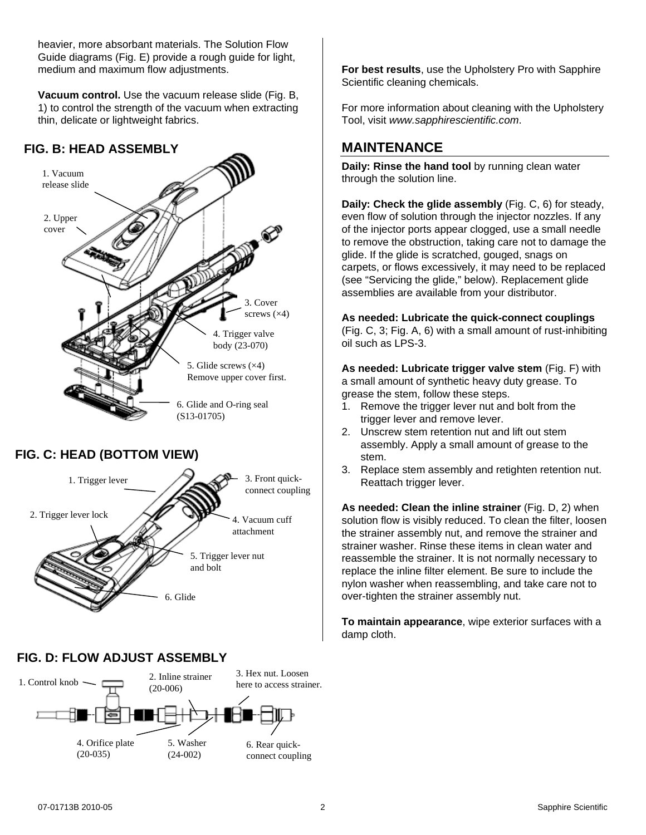heavier, more absorbant materials. The Solution Flow Guide diagrams (Fig. E) provide a rough guide for light, medium and maximum flow adjustments.

**Vacuum control.** Use the vacuum release slide (Fig. B, 1) to control the strength of the vacuum when extracting thin, delicate or lightweight fabrics.

### **FIG. B: HEAD ASSEMBLY**



### **FIG. D: FLOW ADJUST ASSEMBLY**



6. Glide

**For best results**, use the Upholstery Pro with Sapphire Scientific cleaning chemicals.

For more information about cleaning with the Upholstery Tool, visit *www.sapphirescientific.com*.

## **MAINTENANCE**

**Daily: Rinse the hand tool** by running clean water through the solution line.

<span id="page-1-0"></span>**Daily: Check the glide assembly** (Fig. C, 6) for steady, even flow of solution through the injector nozzles. If any of the injector ports appear clogged, use a small needle to remove the obstruction, taking care not to damage the glide. If the glide is scratched, gouged, snags on carpets, or flows excessively, it may need to be replaced (see "Servicing the glide," below). Replacement glide assemblies are available from your distributor.

**As needed: Lubricate the quick-connect couplings**

(Fig. C, 3; Fig. A, 6) with a small amount of rust-inhibiting oil such as LPS-3.

**As needed: Lubricate trigger valve stem** (Fig. F) with a small amount of synthetic heavy duty grease. To grease the stem, follow these steps.

- 1. Remove the trigger lever nut and bolt from the trigger lever and remove lever.
- 2. Unscrew stem retention nut and lift out stem assembly. Apply a small amount of grease to the stem.
- 3. Replace stem assembly and retighten retention nut. Reattach trigger lever.

**As needed: Clean the inline strainer** (Fig. D, 2) when solution flow is visibly reduced. To clean the filter, loosen the strainer assembly nut, and remove the strainer and strainer washer. Rinse these items in clean water and reassemble the strainer. It is not normally necessary to replace the inline filter element. Be sure to include the nylon washer when reassembling, and take care not to over-tighten the strainer assembly nut.

**To maintain appearance**, wipe exterior surfaces with a damp cloth.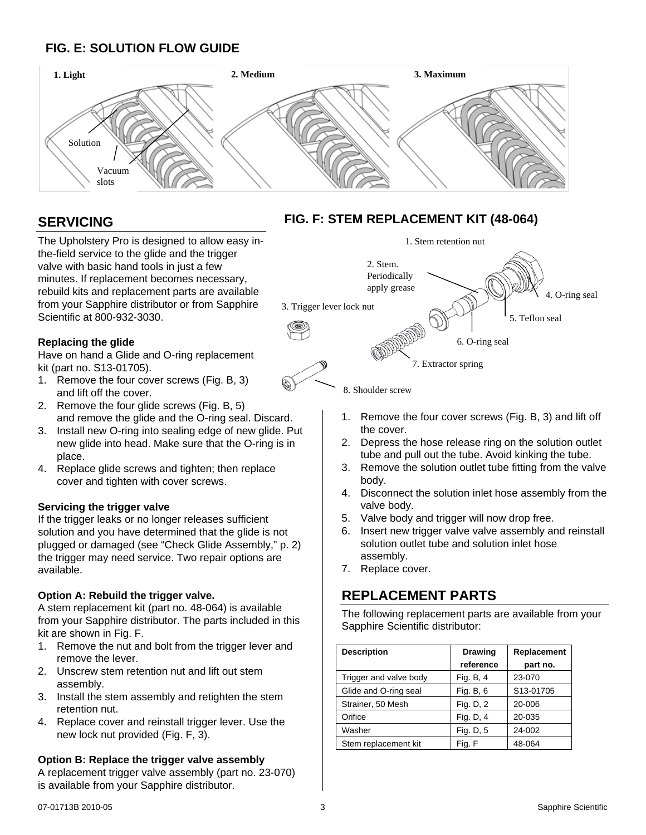## **FIG. E: SOLUTION FLOW GUIDE**



## **SERVICING**

The Upholstery Pro is designed to allow easy inthe-field service to the glide and the trigger valve with basic hand tools in just a few minutes. If replacement becomes necessary, rebuild kits and replacement parts are available from your Sapphire distributor or from Sapphire Scientific at 800-932-3030.

#### **Replacing the glide**

Have on hand a Glide and O-ring replacement kit (part no. S13-01705).

- 1. Remove the four cover screws (Fig. B, 3) and lift off the cover.
- 2. Remove the four glide screws (Fig. B, 5) and remove the glide and the O-ring seal. Discard.
- 3. Install new O-ring into sealing edge of new glide. Put new glide into head. Make sure that the O-ring is in place.
- 4. Replace glide screws and tighten; then replace cover and tighten with cover screws.

#### **Servicing the trigger valve**

If the trigger leaks or no longer releases sufficient solution and you have determined that the glide is not plugged or damaged (see "Check Glide Assembly," p. [2\)](#page-1-0) the trigger may need service. Two repair options are available.

#### **Option A: Rebuild the trigger valve.**

A stem replacement kit (part no. 48-064) is available from your Sapphire distributor. The parts included in this kit are shown in Fig. F.

- 1. Remove the nut and bolt from the trigger lever and remove the lever.
- 2. Unscrew stem retention nut and lift out stem assembly.
- 3. Install the stem assembly and retighten the stem retention nut.
- 4. Replace cover and reinstall trigger lever. Use the new lock nut provided (Fig. F, 3).

#### **Option B: Replace the trigger valve assembly**

A replacement trigger valve assembly (part no. 23-070) is available from your Sapphire distributor.

## **FIG. F: STEM REPLACEMENT KIT (48-064)**



8. Shoulder screw

- 1. Remove the four cover screws (Fig. B, 3) and lift off the cover.
- 2. Depress the hose release ring on the solution outlet tube and pull out the tube. Avoid kinking the tube.
- 3. Remove the solution outlet tube fitting from the valve body.
- 4. Disconnect the solution inlet hose assembly from the valve body.
- 5. Valve body and trigger will now drop free.
- 6. Insert new trigger valve valve assembly and reinstall solution outlet tube and solution inlet hose assembly.
- 7. Replace cover.

## **REPLACEMENT PARTS**

The following replacement parts are available from your Sapphire Scientific distributor:

| <b>Description</b>     | <b>Drawing</b> | Replacement |
|------------------------|----------------|-------------|
|                        | reference      | part no.    |
| Trigger and valve body | Fig. B, 4      | 23-070      |
| Glide and O-ring seal  | Fig. B, 6      | S13-01705   |
| Strainer, 50 Mesh      | Fig. D, 2      | 20-006      |
| Orifice                | Fig. D, 4      | 20-035      |
| Washer                 | Fig. D, 5      | 24-002      |
| Stem replacement kit   | Fig. F         | 48-064      |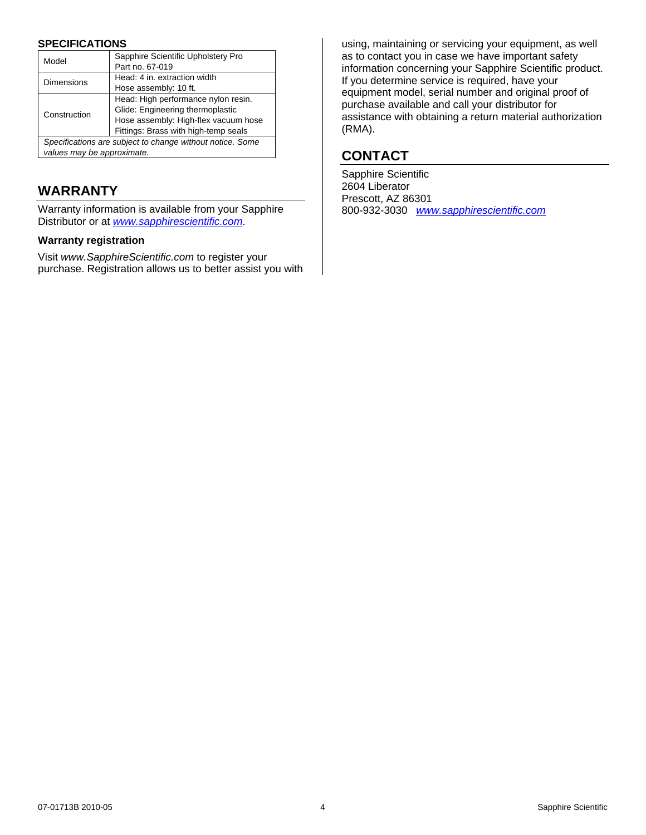#### **SPECIFICATIONS**

| Model                                                     | Sapphire Scientific Upholstery Pro   |
|-----------------------------------------------------------|--------------------------------------|
|                                                           | Part no. 67-019                      |
| <b>Dimensions</b>                                         | Head: 4 in. extraction width         |
|                                                           | Hose assembly: 10 ft.                |
| Construction                                              | Head: High performance nylon resin.  |
|                                                           | Glide: Engineering thermoplastic     |
|                                                           | Hose assembly: High-flex vacuum hose |
|                                                           | Fittings: Brass with high-temp seals |
| Specifications are subject to change without notice. Some |                                      |
| values may be approximate.                                |                                      |

## **WARRANTY**

Warranty information is available from your Sapphire Distributor or at *[www.sapphirescientific.com](http://www.sapphirescientific.com/)*.

#### **Warranty registration**

Visit *www.SapphireScientific.com* to register your purchase. Registration allows us to better assist you with

using, maintaining or servicing your equipment, as well as to contact you in case we have important safety information concerning your Sapphire Scientific product. If you determine service is required, have your equipment model, serial number and original proof of purchase available and call your distributor for assistance with obtaining a return material authorization (RMA).

## **CONTACT**

Sapphire Scientific 2604 Liberator Prescott, AZ 86301 800-932-3030 *[www.sapphirescientific.com](http://www.sapphirescientific.com/)*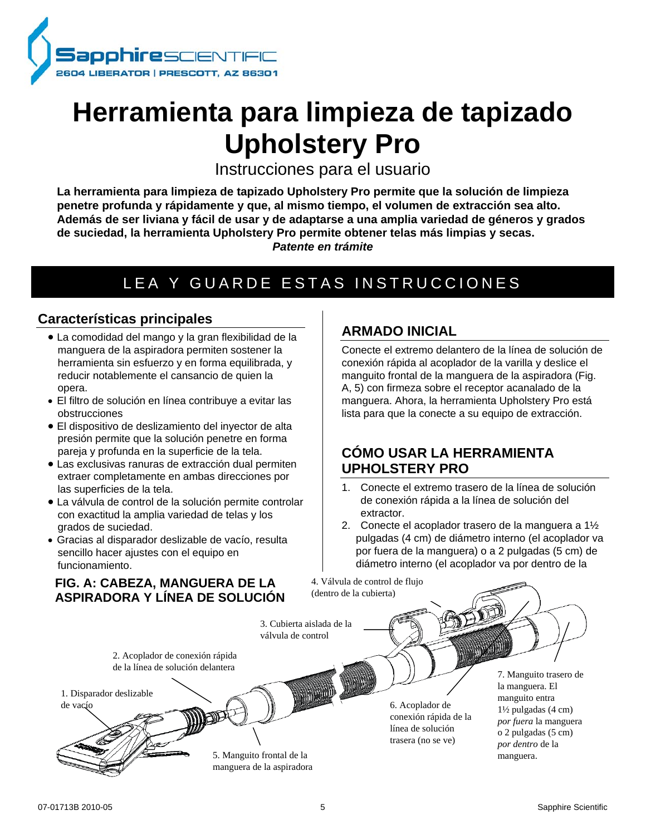

# **Herramienta para limpieza de tapizado Upholstery Pro**

Instrucciones para el usuario

**La herramienta para limpieza de tapizado Upholstery Pro permite que la solución de limpieza penetre profunda y rápidamente y que, al mismo tiempo, el volumen de extracción sea alto. Además de ser liviana y fácil de usar y de adaptarse a una amplia variedad de géneros y grados de suciedad, la herramienta Upholstery Pro permite obtener telas más limpias y secas.**  *Patente en trámite*

## LEA Y GUARDE ESTAS INSTRUCCIONES

### **Características principales**

- La comodidad del mango y la gran flexibilidad de la manguera de la aspiradora permiten sostener la herramienta sin esfuerzo y en forma equilibrada, y reducir notablemente el cansancio de quien la opera.
- El filtro de solución en línea contribuye a evitar las obstrucciones
- El dispositivo de deslizamiento del inyector de alta presión permite que la solución penetre en forma pareja y profunda en la superficie de la tela.
- Las exclusivas ranuras de extracción dual permiten extraer completamente en ambas direcciones por las superficies de la tela.
- La válvula de control de la solución permite controlar con exactitud la amplia variedad de telas y los grados de suciedad.
- Gracias al disparador deslizable de vacío, resulta sencillo hacer ajustes con el equipo en funcionamiento.

## **FIG. A: CABEZA, MANGUERA DE LA ASPIRADORA Y LÍNEA DE SOLUCIÓN**

## **ARMADO INICIAL**

Conecte el extremo delantero de la línea de solución de conexión rápida al acoplador de la varilla y deslice el manguito frontal de la manguera de la aspiradora (Fig. A, 5) con firmeza sobre el receptor acanalado de la manguera. Ahora, la herramienta Upholstery Pro está lista para que la conecte a su equipo de extracción.

## **CÓMO USAR LA HERRAMIENTA UPHOLSTERY PRO**

- 1. Conecte el extremo trasero de la línea de solución de conexión rápida a la línea de solución del extractor.
- 2. Conecte el acoplador trasero de la manguera a 1½ pulgadas (4 cm) de diámetro interno (el acoplador va por fuera de la manguera) o a 2 pulgadas (5 cm) de diámetro interno (el acoplador va por dentro de la

4. Válvula de control de flujo (dentro de la cubierta)

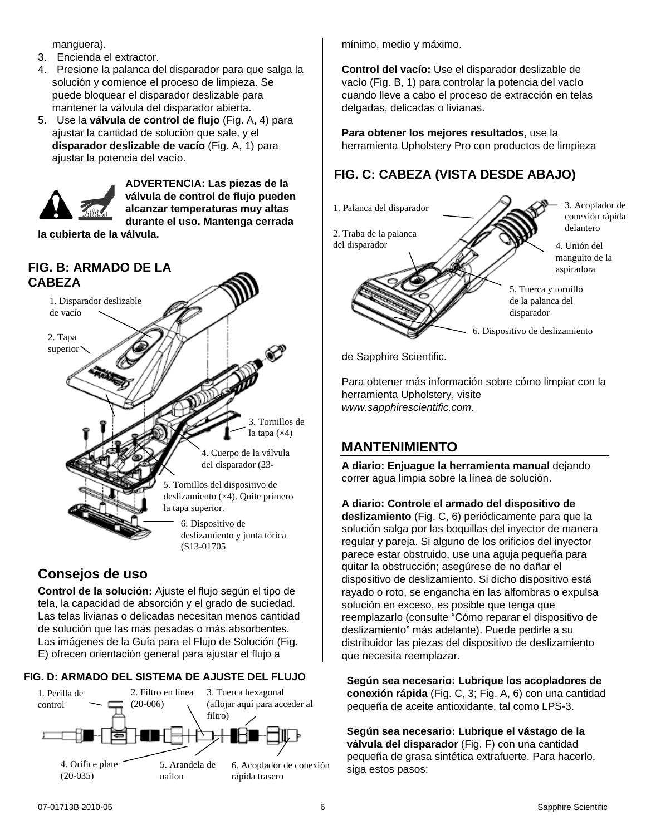manguera).

- 3. Encienda el extractor.
- 4. Presione la palanca del disparador para que salga la solución y comience el proceso de limpieza. Se puede bloquear el disparador deslizable para mantener la válvula del disparador abierta.
- 5. Use la **válvula de control de flujo** (Fig. A, 4) para ajustar la cantidad de solución que sale, y el **disparador deslizable de vacío** (Fig. A, 1) para ajustar la potencia del vacío.



**ADVERTENCIA: Las piezas de la válvula de control de flujo pueden alcanzar temperaturas muy altas durante el uso. Mantenga cerrada** 

**la cubierta de la válvula.** 



## **Consejos de uso**

**Control de la solución:** Ajuste el flujo según el tipo de tela, la capacidad de absorción y el grado de suciedad. Las telas livianas o delicadas necesitan menos cantidad de solución que las más pesadas o más absorbentes. Las imágenes de la Guía para el Flujo de Solución (Fig. E) ofrecen orientación general para ajustar el flujo a

#### **FIG. D: ARMADO DEL SISTEMA DE AJUSTE DEL FLUJO**



mínimo, medio y máximo.

**Control del vacío:** Use el disparador deslizable de vacío (Fig. B, 1) para controlar la potencia del vacío cuando lleve a cabo el proceso de extracción en telas delgadas, delicadas o livianas.

**Para obtener los mejores resultados,** use la herramienta Upholstery Pro con productos de limpieza

## **FIG. C: CABEZA (VISTA DESDE ABAJO)**



de Sapphire Scientific.

Para obtener más información sobre cómo limpiar con la herramienta Upholstery, visite *www.sapphirescientific.com*.

## **MANTENIMIENTO**

**A diario: Enjuague la herramienta manual** dejando correr agua limpia sobre la línea de solución.

<span id="page-5-0"></span>**A diario: Controle el armado del dispositivo de** 

**deslizamiento** (Fig. C, 6) periódicamente para que la solución salga por las boquillas del inyector de manera regular y pareja. Si alguno de los orificios del inyector parece estar obstruido, use una aguja pequeña para quitar la obstrucción; asegúrese de no dañar el dispositivo de deslizamiento. Si dicho dispositivo está rayado o roto, se engancha en las alfombras o expulsa solución en exceso, es posible que tenga que reemplazarlo (consulte "Cómo reparar el dispositivo de deslizamiento" más adelante). Puede pedirle a su distribuidor las piezas del dispositivo de deslizamiento que necesita reemplazar.

**Según sea necesario: Lubrique los acopladores de conexión rápida** (Fig. C, 3; Fig. A, 6) con una cantidad pequeña de aceite antioxidante, tal como LPS-3.

**Según sea necesario: Lubrique el vástago de la válvula del disparador** (Fig. F) con una cantidad pequeña de grasa sintética extrafuerte. Para hacerlo, siga estos pasos: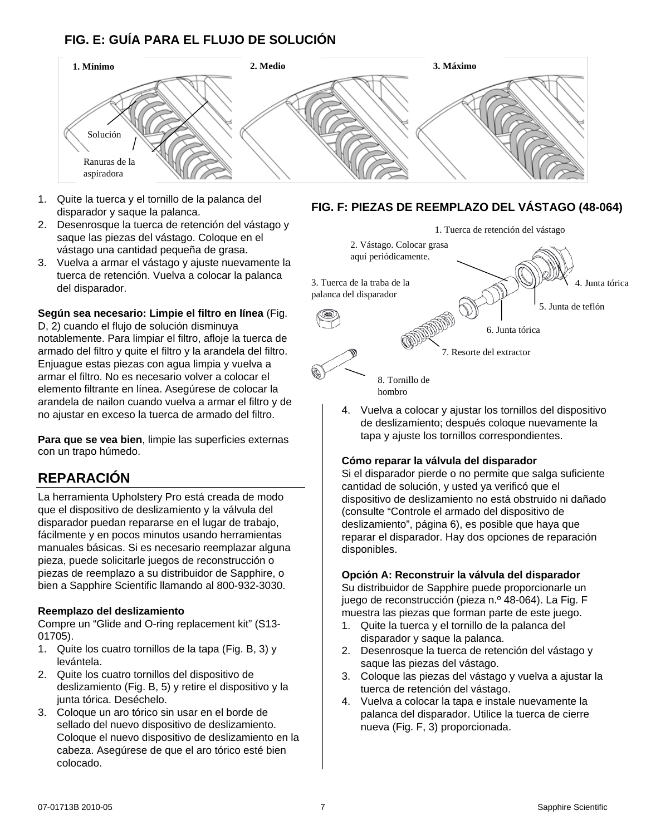## **FIG. E: GUÍA PARA EL FLUJO DE SOLUCIÓN**



- 1. Quite la tuerca y el tornillo de la palanca del disparador y saque la palanca.
- 2. Desenrosque la tuerca de retención del vástago y saque las piezas del vástago. Coloque en el vástago una cantidad pequeña de grasa.
- 3. Vuelva a armar el vástago y ajuste nuevamente la tuerca de retención. Vuelva a colocar la palanca del disparador.

**Según sea necesario: Limpie el filtro en línea** (Fig. D, 2) cuando el flujo de solución disminuya notablemente. Para limpiar el filtro, afloje la tuerca de armado del filtro y quite el filtro y la arandela del filtro. Enjuague estas piezas con agua limpia y vuelva a armar el filtro. No es necesario volver a colocar el elemento filtrante en línea. Asegúrese de colocar la arandela de nailon cuando vuelva a armar el filtro y de no ajustar en exceso la tuerca de armado del filtro.

**Para que se vea bien**, limpie las superficies externas con un trapo húmedo.

## **REPARACIÓN**

La herramienta Upholstery Pro está creada de modo que el dispositivo de deslizamiento y la válvula del disparador puedan repararse en el lugar de trabajo, fácilmente y en pocos minutos usando herramientas manuales básicas. Si es necesario reemplazar alguna pieza, puede solicitarle juegos de reconstrucción o piezas de reemplazo a su distribuidor de Sapphire, o bien a Sapphire Scientific llamando al 800-932-3030.

#### **Reemplazo del deslizamiento**

Compre un "Glide and O-ring replacement kit" (S13- 01705).

- 1. Quite los cuatro tornillos de la tapa (Fig. B, 3) y levántela.
- 2. Quite los cuatro tornillos del dispositivo de deslizamiento (Fig. B, 5) y retire el dispositivo y la junta tórica. Deséchelo.
- 3. Coloque un aro tórico sin usar en el borde de sellado del nuevo dispositivo de deslizamiento. Coloque el nuevo dispositivo de deslizamiento en la cabeza. Asegúrese de que el aro tórico esté bien colocado.

#### **FIG. F: PIEZAS DE REEMPLAZO DEL VÁSTAGO (48-064)**



- hombro
- 4. Vuelva a colocar y ajustar los tornillos del dispositivo de deslizamiento; después coloque nuevamente la tapa y ajuste los tornillos correspondientes.

#### **Cómo reparar la válvula del disparador**

Si el disparador pierde o no permite que salga suficiente cantidad de solución, y usted ya verificó que el dispositivo de deslizamiento no está obstruido ni dañado (consulte "Controle el armado del dispositivo de deslizamiento", página [6\)](#page-5-0), es posible que haya que reparar el disparador. Hay dos opciones de reparación disponibles.

#### **Opción A: Reconstruir la válvula del disparador**

Su distribuidor de Sapphire puede proporcionarle un juego de reconstrucción (pieza n.º 48-064). La Fig. F muestra las piezas que forman parte de este juego.

- 1. Quite la tuerca y el tornillo de la palanca del disparador y saque la palanca.
- 2. Desenrosque la tuerca de retención del vástago y saque las piezas del vástago.
- 3. Coloque las piezas del vástago y vuelva a ajustar la tuerca de retención del vástago.
- 4. Vuelva a colocar la tapa e instale nuevamente la palanca del disparador. Utilice la tuerca de cierre nueva (Fig. F, 3) proporcionada.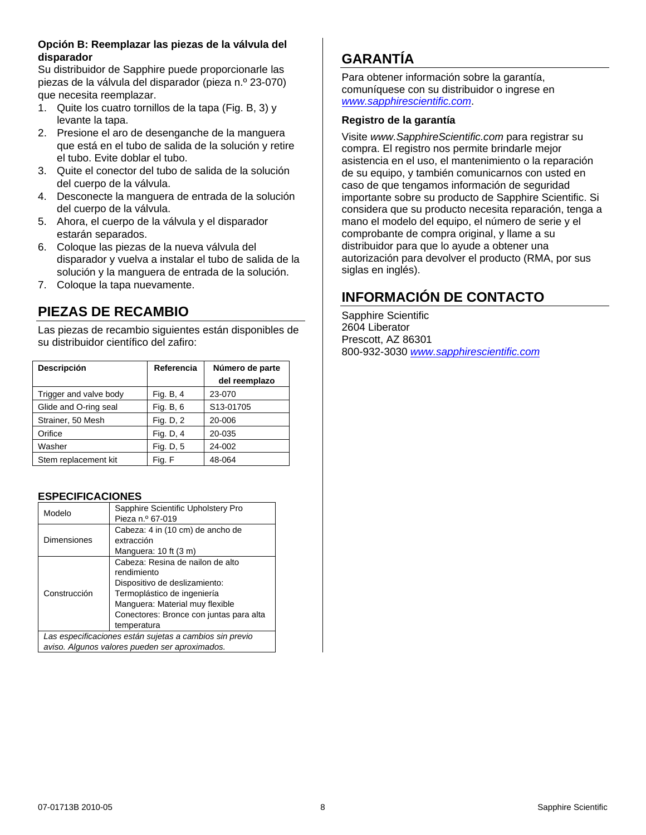#### **Opción B: Reemplazar las piezas de la válvula del disparador**

Su distribuidor de Sapphire puede proporcionarle las piezas de la válvula del disparador (pieza n.º 23-070) que necesita reemplazar.

- 1. Quite los cuatro tornillos de la tapa (Fig. B, 3) y levante la tapa.
- 2. Presione el aro de desenganche de la manguera que está en el tubo de salida de la solución y retire el tubo. Evite doblar el tubo.
- 3. Quite el conector del tubo de salida de la solución del cuerpo de la válvula.
- 4. Desconecte la manguera de entrada de la solución del cuerpo de la válvula.
- 5. Ahora, el cuerpo de la válvula y el disparador estarán separados.
- 6. Coloque las piezas de la nueva válvula del disparador y vuelva a instalar el tubo de salida de la solución y la manguera de entrada de la solución.
- 7. Coloque la tapa nuevamente.

## **PIEZAS DE RECAMBIO**

Las piezas de recambio siguientes están disponibles de su distribuidor científico del zafiro:

| Descripción            | Referencia | Número de parte<br>del reemplazo |
|------------------------|------------|----------------------------------|
| Trigger and valve body | Fig. B, 4  | 23-070                           |
| Glide and O-ring seal  | Fig. B, 6  | S13-01705                        |
| Strainer, 50 Mesh      | Fig. D, 2  | 20-006                           |
| Orifice                | Fig. D, 4  | 20-035                           |
| Washer                 | Fig. D, 5  | 24-002                           |
| Stem replacement kit   | Fig. F     | 48-064                           |

#### **ESPECIFICACIONES**

| Modelo                                                  | Sapphire Scientific Upholstery Pro      |
|---------------------------------------------------------|-----------------------------------------|
|                                                         | Pieza n.º 67-019                        |
|                                                         | Cabeza: 4 in (10 cm) de ancho de        |
| Dimensiones                                             | extracción                              |
|                                                         | Manguera: 10 ft (3 m)                   |
| Construcción                                            | Cabeza: Resina de nailon de alto        |
|                                                         | rendimiento                             |
|                                                         | Dispositivo de deslizamiento:           |
|                                                         | Termoplástico de ingeniería             |
|                                                         | Manguera: Material muy flexible         |
|                                                         | Conectores: Bronce con juntas para alta |
|                                                         | temperatura                             |
| Las especificaciones están sujetas a cambios sin previo |                                         |
| aviso. Algunos valores pueden ser aproximados.          |                                         |

## **GARANTÍA**

Para obtener información sobre la garantía, comuníquese con su distribuidor o ingrese en *[www.sapphirescientific.com](http://www.sapphirescientific.com/)*.

#### **Registro de la garantía**

Visite *www.SapphireScientific.com* para registrar su compra. El registro nos permite brindarle mejor asistencia en el uso, el mantenimiento o la reparación de su equipo, y también comunicarnos con usted en caso de que tengamos información de seguridad importante sobre su producto de Sapphire Scientific. Si considera que su producto necesita reparación, tenga a mano el modelo del equipo, el número de serie y el comprobante de compra original, y llame a su distribuidor para que lo ayude a obtener una autorización para devolver el producto (RMA, por sus siglas en inglés).

## **INFORMACIÓN DE CONTACTO**

Sapphire Scientific 2604 Liberator Prescott, AZ 86301 800-932-3030 *[www.sapphirescientific.com](http://www.sapphirescientific.com/)*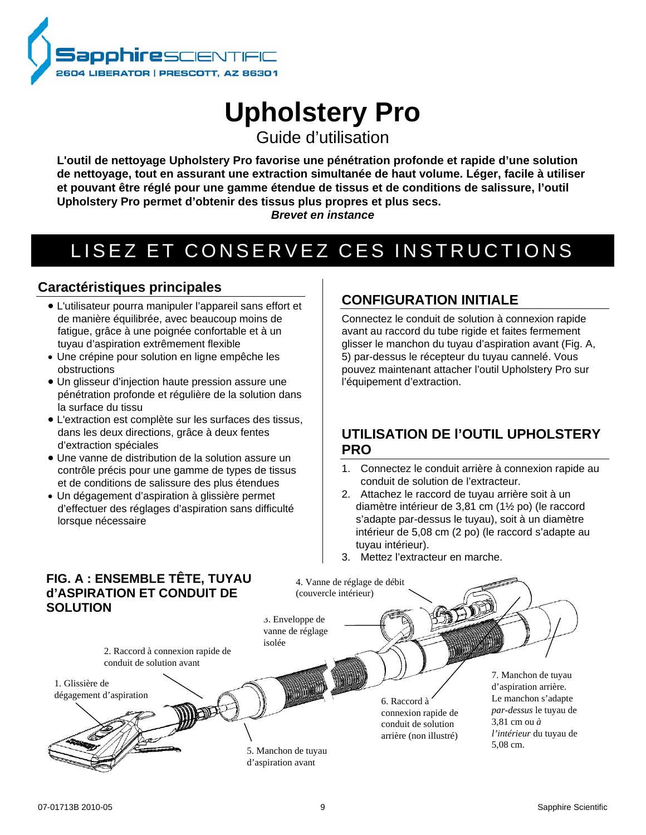

# **Upholstery Pro**

Guide d'utilisation

**L'outil de nettoyage Upholstery Pro favorise une pénétration profonde et rapide d'une solution de nettoyage, tout en assurant une extraction simultanée de haut volume. Léger, facile à utiliser et pouvant être réglé pour une gamme étendue de tissus et de conditions de salissure, l'outil Upholstery Pro permet d'obtenir des tissus plus propres et plus secs.**

#### *Brevet en instance*

## LISEZ ET CONSERVEZ CES INSTRUCTIONS

## **Caractéristiques principales**

- L'utilisateur pourra manipuler l'appareil sans effort et de manière équilibrée, avec beaucoup moins de fatigue, grâce à une poignée confortable et à un tuyau d'aspiration extrêmement flexible
- Une crépine pour solution en ligne empêche les obstructions
- Un glisseur d'injection haute pression assure une pénétration profonde et régulière de la solution dans la surface du tissu
- L'extraction est complète sur les surfaces des tissus, dans les deux directions, grâce à deux fentes d'extraction spéciales
- Une vanne de distribution de la solution assure un contrôle précis pour une gamme de types de tissus et de conditions de salissure des plus étendues
- Un dégagement d'aspiration à glissière permet d'effectuer des réglages d'aspiration sans difficulté lorsque nécessaire

## **CONFIGURATION INITIALE**

Connectez le conduit de solution à connexion rapide avant au raccord du tube rigide et faites fermement glisser le manchon du tuyau d'aspiration avant (Fig. A, 5) par-dessus le récepteur du tuyau cannelé. Vous pouvez maintenant attacher l'outil Upholstery Pro sur l'équipement d'extraction.

## **UTILISATION DE l'OUTIL UPHOLSTERY PRO**

- 1. Connectez le conduit arrière à connexion rapide au conduit de solution de l'extracteur.
- 2. Attachez le raccord de tuyau arrière soit à un diamètre intérieur de 3,81 cm (1½ po) (le raccord s'adapte par-dessus le tuyau), soit à un diamètre intérieur de 5,08 cm (2 po) (le raccord s'adapte au tuyau intérieur).
- 3. Mettez l'extracteur en marche.

#### **FIG. A : ENSEMBLE TÊTE, TUYAU**  4. Vanne de réglage de débit **d'ASPIRATION ET CONDUIT DE**  (couvercle intérieur) **SOLUTION** 3. Enveloppe de vanne de réglage isolée 2. Raccord à connexion rapide de conduit de solution avant 7. Manchon de tuyau **MAND** 1. Glissière de d'aspiration arrière. dégagement d'aspirationLe manchon s'adapte 6. Raccord à *par-dessus* le tuyau de connexion rapide de 3,81 cm ou *à* conduit de solution *l'intérieur* du tuyau de arrière (non illustré) 5,08 cm. 5. Manchon de tuyau d'aspiration avant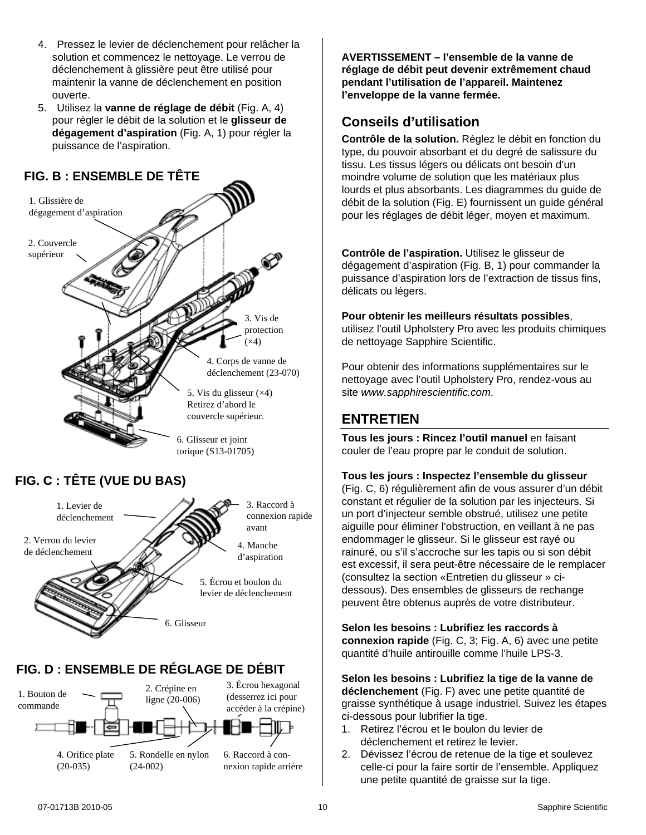- 4. Pressez le levier de déclenchement pour relâcher la solution et commencez le nettoyage. Le verrou de déclenchement à glissière peut être utilisé pour maintenir la vanne de déclenchement en position ouverte.
- 5. Utilisez la **vanne de réglage de débit** (Fig. A, 4) pour régler le débit de la solution et le **glisseur de dégagement d'aspiration** (Fig. A, 1) pour régler la puissance de l'aspiration.

## **FIG. B : ENSEMBLE DE TÊTE**





## **FIG. D : ENSEMBLE DE RÉGLAGE DE DÉBIT**



**AVERTISSEMENT – l'ensemble de la vanne de réglage de débit peut devenir extrêmement chaud pendant l'utilisation de l'appareil. Maintenez l'enveloppe de la vanne fermée.**

## **Conseils d'utilisation**

**Contrôle de la solution.** Réglez le débit en fonction du type, du pouvoir absorbant et du degré de salissure du tissu. Les tissus légers ou délicats ont besoin d'un moindre volume de solution que les matériaux plus lourds et plus absorbants. Les diagrammes du guide de débit de la solution (Fig. E) fournissent un guide général pour les réglages de débit léger, moyen et maximum.

**Contrôle de l'aspiration.** Utilisez le glisseur de dégagement d'aspiration (Fig. B, 1) pour commander la puissance d'aspiration lors de l'extraction de tissus fins, délicats ou légers.

#### **Pour obtenir les meilleurs résultats possibles**,

utilisez l'outil Upholstery Pro avec les produits chimiques de nettoyage Sapphire Scientific.

Pour obtenir des informations supplémentaires sur le nettoyage avec l'outil Upholstery Pro, rendez-vous au site *www.sapphirescientific.com*.

### **ENTRETIEN**

**Tous les jours : Rincez l'outil manuel** en faisant couler de l'eau propre par le conduit de solution.

#### <span id="page-9-0"></span>**Tous les jours : Inspectez l'ensemble du glisseur**

(Fig. C, 6) régulièrement afin de vous assurer d'un débit constant et régulier de la solution par les injecteurs. Si un port d'injecteur semble obstrué, utilisez une petite aiguille pour éliminer l'obstruction, en veillant à ne pas endommager le glisseur. Si le glisseur est rayé ou rainuré, ou s'il s'accroche sur les tapis ou si son débit est excessif, il sera peut-être nécessaire de le remplacer (consultez la section «Entretien du glisseur » cidessous). Des ensembles de glisseurs de rechange peuvent être obtenus auprès de votre distributeur.

**Selon les besoins : Lubrifiez les raccords à connexion rapide** (Fig. C, 3; Fig. A, 6) avec une petite quantité d'huile antirouille comme l'huile LPS-3.

**Selon les besoins : Lubrifiez la tige de la vanne de déclenchement** (Fig. F) avec une petite quantité de graisse synthétique à usage industriel. Suivez les étapes ci-dessous pour lubrifier la tige.

- 1. Retirez l'écrou et le boulon du levier de déclenchement et retirez le levier.
- 2. Dévissez l'écrou de retenue de la tige et soulevez celle-ci pour la faire sortir de l'ensemble. Appliquez une petite quantité de graisse sur la tige.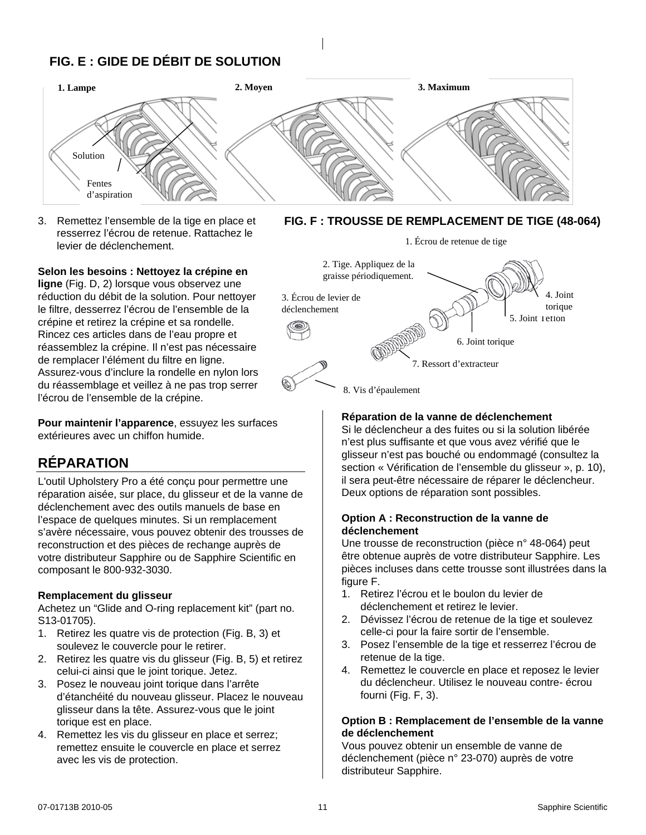## **FIG. E : GIDE DE DÉBIT DE SOLUTION**



3. Remettez l'ensemble de la tige en place et resserrez l'écrou de retenue. Rattachez le levier de déclenchement.

#### **Selon les besoins : Nettoyez la crépine en**

**ligne** (Fig. D, 2) lorsque vous observez une réduction du débit de la solution. Pour nettoyer le filtre, desserrez l'écrou de l'ensemble de la crépine et retirez la crépine et sa rondelle. Rincez ces articles dans de l'eau propre et réassemblez la crépine. Il n'est pas nécessaire de remplacer l'élément du filtre en ligne. Assurez-vous d'inclure la rondelle en nylon lors du réassemblage et veillez à ne pas trop serrer l'écrou de l'ensemble de la crépine.

**Pour maintenir l'apparence**, essuyez les surfaces extérieures avec un chiffon humide.

## **RÉPARATION**

L'outil Upholstery Pro a été conçu pour permettre une réparation aisée, sur place, du glisseur et de la vanne de déclenchement avec des outils manuels de base en l'espace de quelques minutes. Si un remplacement s'avère nécessaire, vous pouvez obtenir des trousses de reconstruction et des pièces de rechange auprès de votre distributeur Sapphire ou de Sapphire Scientific en composant le 800-932-3030.

#### **Remplacement du glisseur**

Achetez un "Glide and O-ring replacement kit" (part no. S13-01705).

- 1. Retirez les quatre vis de protection (Fig. B, 3) et soulevez le couvercle pour le retirer.
- 2. Retirez les quatre vis du glisseur (Fig. B, 5) et retirez celui-ci ainsi que le joint torique. Jetez.
- 3. Posez le nouveau joint torique dans l'arrête d'étanchéité du nouveau glisseur. Placez le nouveau glisseur dans la tête. Assurez-vous que le joint torique est en place.
- 4. Remettez les vis du glisseur en place et serrez; remettez ensuite le couvercle en place et serrez avec les vis de protection.





#### **Réparation de la vanne de déclenchement**

Si le déclencheur a des fuites ou si la solution libérée n'est plus suffisante et que vous avez vérifié que le glisseur n'est pas bouché ou endommagé (consultez la section « Vérification de l'ensemble du glisseur », p. [10\)](#page-9-0), il sera peut-être nécessaire de réparer le déclencheur. Deux options de réparation sont possibles.

#### **Option A : Reconstruction de la vanne de déclenchement**

Une trousse de reconstruction (pièce n° 48-064) peut être obtenue auprès de votre distributeur Sapphire. Les pièces incluses dans cette trousse sont illustrées dans la figure F.

- 1. Retirez l'écrou et le boulon du levier de déclenchement et retirez le levier.
- 2. Dévissez l'écrou de retenue de la tige et soulevez celle-ci pour la faire sortir de l'ensemble.
- 3. Posez l'ensemble de la tige et resserrez l'écrou de retenue de la tige.
- 4. Remettez le couvercle en place et reposez le levier du déclencheur. Utilisez le nouveau contre- écrou fourni (Fig. F, 3).

#### **Option B : Remplacement de l'ensemble de la vanne de déclenchement**

Vous pouvez obtenir un ensemble de vanne de déclenchement (pièce n° 23-070) auprès de votre distributeur Sapphire.